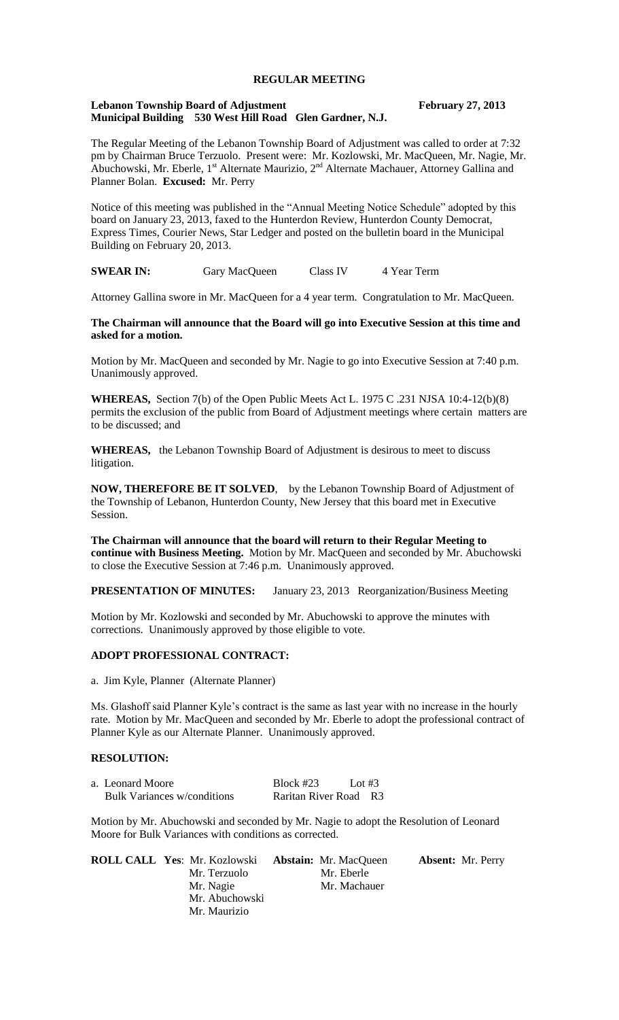# **REGULAR MEETING**

#### **Lebanon Township Board of Adjustment February 27, 2013 Municipal Building 530 West Hill Road Glen Gardner, N.J.**

The Regular Meeting of the Lebanon Township Board of Adjustment was called to order at 7:32 pm by Chairman Bruce Terzuolo. Present were: Mr. Kozlowski, Mr. MacQueen, Mr. Nagie, Mr. Abuchowski, Mr. Eberle, 1<sup>st</sup> Alternate Maurizio, 2<sup>nd</sup> Alternate Machauer, Attorney Gallina and Planner Bolan. **Excused:** Mr. Perry

Notice of this meeting was published in the "Annual Meeting Notice Schedule" adopted by this board on January 23, 2013, faxed to the Hunterdon Review, Hunterdon County Democrat, Express Times, Courier News, Star Ledger and posted on the bulletin board in the Municipal Building on February 20, 2013.

**SWEAR IN:** Gary MacQueen Class IV 4 Year Term

Attorney Gallina swore in Mr. MacQueen for a 4 year term. Congratulation to Mr. MacQueen.

#### **The Chairman will announce that the Board will go into Executive Session at this time and asked for a motion.**

Motion by Mr. MacQueen and seconded by Mr. Nagie to go into Executive Session at 7:40 p.m. Unanimously approved.

**WHEREAS,** Section 7(b) of the Open Public Meets Act L. 1975 C .231 NJSA 10:4-12(b)(8) permits the exclusion of the public from Board of Adjustment meetings where certain matters are to be discussed; and

**WHEREAS,** the Lebanon Township Board of Adjustment is desirous to meet to discuss litigation.

**NOW, THEREFORE BE IT SOLVED**, by the Lebanon Township Board of Adjustment of the Township of Lebanon, Hunterdon County, New Jersey that this board met in Executive Session.

**The Chairman will announce that the board will return to their Regular Meeting to continue with Business Meeting.** Motion by Mr. MacQueen and seconded by Mr. Abuchowski to close the Executive Session at 7:46 p.m. Unanimously approved.

**PRESENTATION OF MINUTES:** January 23, 2013 Reorganization/Business Meeting

Motion by Mr. Kozlowski and seconded by Mr. Abuchowski to approve the minutes with corrections. Unanimously approved by those eligible to vote.

# **ADOPT PROFESSIONAL CONTRACT:**

a. Jim Kyle, Planner (Alternate Planner)

Ms. Glashoff said Planner Kyle's contract is the same as last year with no increase in the hourly rate. Motion by Mr. MacQueen and seconded by Mr. Eberle to adopt the professional contract of Planner Kyle as our Alternate Planner. Unanimously approved.

#### **RESOLUTION:**

| a. Leonard Moore                   | Block $#23$           | Lot $#3$ |  |
|------------------------------------|-----------------------|----------|--|
| <b>Bulk Variances w/conditions</b> | Raritan River Road R3 |          |  |

Motion by Mr. Abuchowski and seconded by Mr. Nagie to adopt the Resolution of Leonard Moore for Bulk Variances with conditions as corrected.

| <b>ROLL CALL Yes: Mr. Kozlowski</b> | <b>Abstain:</b> Mr. MacQueen | <b>Absent:</b> Mr. Perry |
|-------------------------------------|------------------------------|--------------------------|
| Mr. Terzuolo                        | Mr. Eberle                   |                          |
| Mr. Nagie                           | Mr. Machauer                 |                          |
| Mr. Abuchowski                      |                              |                          |
| Mr. Maurizio                        |                              |                          |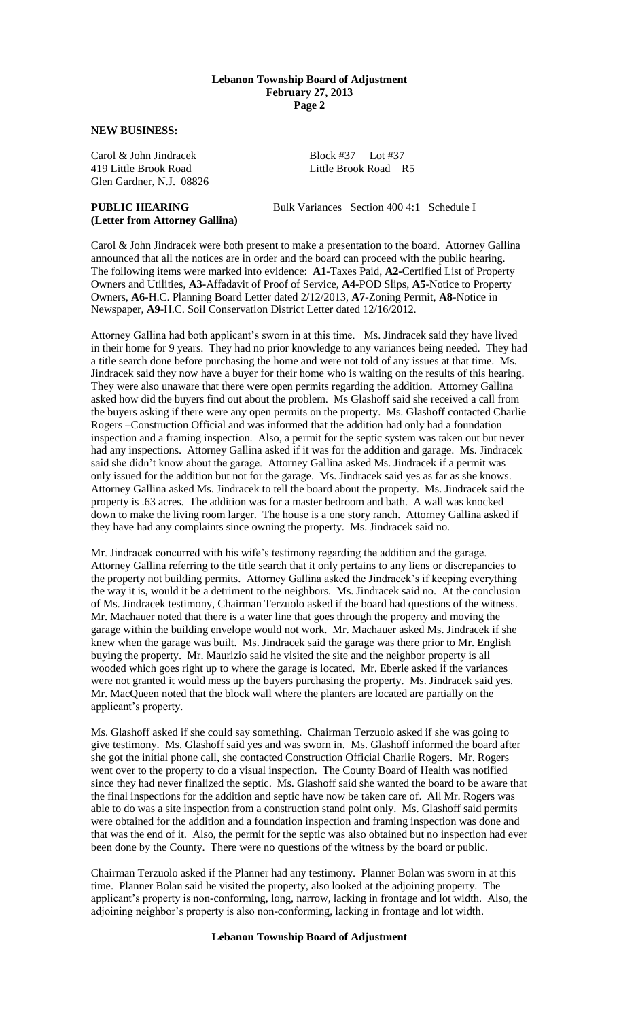#### **Lebanon Township Board of Adjustment February 27, 2013 Page 2**

**NEW BUSINESS:**

Carol & John Jindracek Block #37 Lot #37 419 Little Brook Road Little Brook Road R5 Glen Gardner, N.J. 08826

# **(Letter from Attorney Gallina)**

**PUBLIC HEARING** Bulk Variances Section 400 4:1 Schedule I

Carol & John Jindracek were both present to make a presentation to the board. Attorney Gallina announced that all the notices are in order and the board can proceed with the public hearing. The following items were marked into evidence: **A1**-Taxes Paid, **A2-**Certified List of Property Owners and Utilities, **A3-**Affadavit of Proof of Service, **A4-**POD Slips, **A5**-Notice to Property Owners, **A6-**H.C. Planning Board Letter dated 2/12/2013, **A7**-Zoning Permit, **A8**-Notice in Newspaper, **A9**-H.C. Soil Conservation District Letter dated 12/16/2012.

Attorney Gallina had both applicant's sworn in at this time. Ms. Jindracek said they have lived in their home for 9 years. They had no prior knowledge to any variances being needed. They had a title search done before purchasing the home and were not told of any issues at that time. Ms. Jindracek said they now have a buyer for their home who is waiting on the results of this hearing. They were also unaware that there were open permits regarding the addition. Attorney Gallina asked how did the buyers find out about the problem. Ms Glashoff said she received a call from the buyers asking if there were any open permits on the property. Ms. Glashoff contacted Charlie Rogers –Construction Official and was informed that the addition had only had a foundation inspection and a framing inspection. Also, a permit for the septic system was taken out but never had any inspections. Attorney Gallina asked if it was for the addition and garage. Ms. Jindracek said she didn't know about the garage. Attorney Gallina asked Ms. Jindracek if a permit was only issued for the addition but not for the garage. Ms. Jindracek said yes as far as she knows. Attorney Gallina asked Ms. Jindracek to tell the board about the property. Ms. Jindracek said the property is .63 acres. The addition was for a master bedroom and bath. A wall was knocked down to make the living room larger. The house is a one story ranch. Attorney Gallina asked if they have had any complaints since owning the property. Ms. Jindracek said no.

Mr. Jindracek concurred with his wife's testimony regarding the addition and the garage. Attorney Gallina referring to the title search that it only pertains to any liens or discrepancies to the property not building permits. Attorney Gallina asked the Jindracek's if keeping everything the way it is, would it be a detriment to the neighbors. Ms. Jindracek said no. At the conclusion of Ms. Jindracek testimony, Chairman Terzuolo asked if the board had questions of the witness. Mr. Machauer noted that there is a water line that goes through the property and moving the garage within the building envelope would not work. Mr. Machauer asked Ms. Jindracek if she knew when the garage was built. Ms. Jindracek said the garage was there prior to Mr. English buying the property. Mr. Maurizio said he visited the site and the neighbor property is all wooded which goes right up to where the garage is located. Mr. Eberle asked if the variances were not granted it would mess up the buyers purchasing the property. Ms. Jindracek said yes. Mr. MacQueen noted that the block wall where the planters are located are partially on the applicant's property.

Ms. Glashoff asked if she could say something. Chairman Terzuolo asked if she was going to give testimony. Ms. Glashoff said yes and was sworn in. Ms. Glashoff informed the board after she got the initial phone call, she contacted Construction Official Charlie Rogers. Mr. Rogers went over to the property to do a visual inspection. The County Board of Health was notified since they had never finalized the septic. Ms. Glashoff said she wanted the board to be aware that the final inspections for the addition and septic have now be taken care of. All Mr. Rogers was able to do was a site inspection from a construction stand point only. Ms. Glashoff said permits were obtained for the addition and a foundation inspection and framing inspection was done and that was the end of it. Also, the permit for the septic was also obtained but no inspection had ever been done by the County. There were no questions of the witness by the board or public.

Chairman Terzuolo asked if the Planner had any testimony. Planner Bolan was sworn in at this time. Planner Bolan said he visited the property, also looked at the adjoining property. The applicant's property is non-conforming, long, narrow, lacking in frontage and lot width. Also, the adjoining neighbor's property is also non-conforming, lacking in frontage and lot width.

### **Lebanon Township Board of Adjustment**